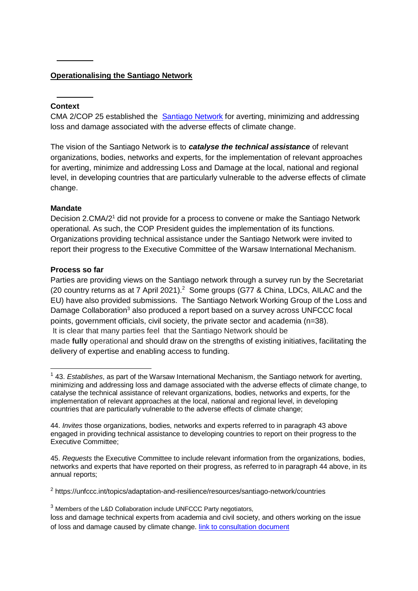## **Operationalising the Santiago Network**

### **Context**

CMA 2/COP 25 established the [Santiago Network](https://unfccc.int/santiago-network) for averting, minimizing and addressing loss and damage associated with the adverse effects of climate change.

The vision of the Santiago Network is to *catalyse the technical assistance* of relevant organizations, bodies, networks and experts, for the implementation of relevant approaches for averting, minimize and addressing Loss and Damage at the local, national and regional level, in developing countries that are particularly vulnerable to the adverse effects of climate change.

#### **Mandate**

Decision 2.CMA/2<sup>1</sup> did not provide for a process to convene or make the Santiago Network operational. As such, the COP President guides the implementation of its functions. Organizations providing technical assistance under the Santiago Network were invited to report their progress to the Executive Committee of the Warsaw International Mechanism.

#### **Process so far**

-

Parties are providing views on the Santiago network through a survey run by the Secretariat (20 country returns as at 7 April 2021).<sup>2</sup> Some groups (G77 & China, LDCs, AILAC and the EU) have also provided submissions. The Santiago Network Working Group of the Loss and Damage Collaboration<sup>3</sup> also produced a report based on a survey across UNFCCC focal points, government officials, civil society, the private sector and academia (n=38). It is clear that many parties feel that the Santiago Network should be made **fully** operational and should draw on the strengths of existing initiatives, facilitating the delivery of expertise and enabling access to funding.

<sup>2</sup> https://unfccc.int/topics/adaptation-and-resilience/resources/santiago-network/countries

<sup>1</sup> 43. *Establishes*, as part of the Warsaw International Mechanism, the Santiago network for averting, minimizing and addressing loss and damage associated with the adverse effects of climate change, to catalyse the technical assistance of relevant organizations, bodies, networks and experts, for the implementation of relevant approaches at the local, national and regional level, in developing countries that are particularly vulnerable to the adverse effects of climate change;

<sup>44.</sup> *Invites* those organizations, bodies, networks and experts referred to in paragraph 43 above engaged in providing technical assistance to developing countries to report on their progress to the Executive Committee;

<sup>45.</sup> *Requests* the Executive Committee to include relevant information from the organizations, bodies, networks and experts that have reported on their progress, as referred to in paragraph 44 above, in its annual reports;

<sup>&</sup>lt;sup>3</sup> Members of the L&D Collaboration include UNFCCC Party negotiators,

loss and damage technical experts from academia and civil society, and others working on the issue of loss and damage caused by climate change. [link to consultation document](about:blank)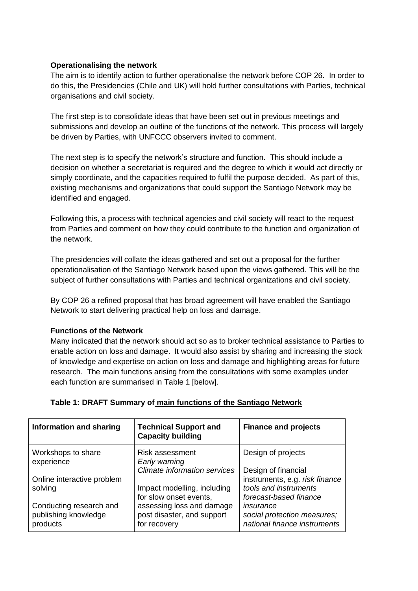### **Operationalising the network**

The aim is to identify action to further operationalise the network before COP 26. In order to do this, the Presidencies (Chile and UK) will hold further consultations with Parties, technical organisations and civil society.

The first step is to consolidate ideas that have been set out in previous meetings and submissions and develop an outline of the functions of the network. This process will largely be driven by Parties, with UNFCCC observers invited to comment.

The next step is to specify the network's structure and function. This should include a decision on whether a secretariat is required and the degree to which it would act directly or simply coordinate, and the capacities required to fulfil the purpose decided. As part of this, existing mechanisms and organizations that could support the Santiago Network may be identified and engaged.

Following this, a process with technical agencies and civil society will react to the request from Parties and comment on how they could contribute to the function and organization of the network.

The presidencies will collate the ideas gathered and set out a proposal for the further operationalisation of the Santiago Network based upon the views gathered. This will be the subject of further consultations with Parties and technical organizations and civil society.

By COP 26 a refined proposal that has broad agreement will have enabled the Santiago Network to start delivering practical help on loss and damage.

## **Functions of the Network**

Many indicated that the network should act so as to broker technical assistance to Parties to enable action on loss and damage. It would also assist by sharing and increasing the stock of knowledge and expertise on action on loss and damage and highlighting areas for future research. The main functions arising from the consultations with some examples under each function are summarised in Table 1 [below].

## **Table 1: DRAFT Summary of main functions of the Santiago Network**

| Information and sharing                                     | <b>Technical Support and</b><br><b>Capacity building</b>                | <b>Finance and projects</b>                                                       |
|-------------------------------------------------------------|-------------------------------------------------------------------------|-----------------------------------------------------------------------------------|
| Workshops to share<br>experience                            | <b>Risk assessment</b><br>Early warning                                 | Design of projects                                                                |
|                                                             | <b>Climate information services</b>                                     | Design of financial                                                               |
| Online interactive problem<br>solving                       | Impact modelling, including<br>for slow onset events,                   | instruments, e.g. risk finance<br>tools and instruments<br>forecast-based finance |
| Conducting research and<br>publishing knowledge<br>products | assessing loss and damage<br>post disaster, and support<br>for recovery | insurance<br>social protection measures;<br>national finance instruments          |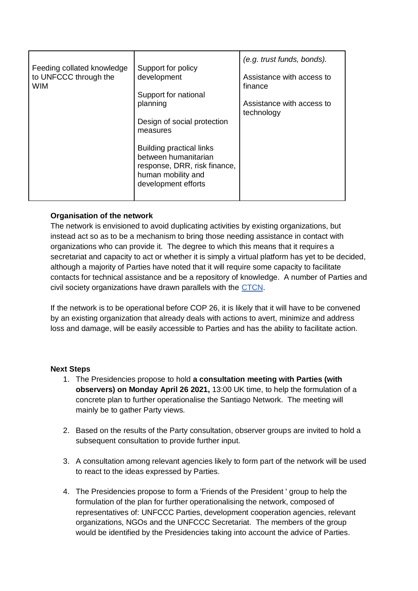| Feeding collated knowledge<br>to UNFCCC through the<br><b>WIM</b> | Support for policy<br>development<br>Support for national<br>planning<br>Design of social protection<br>measures<br><b>Building practical links</b><br>between humanitarian | (e.g. trust funds, bonds).<br>Assistance with access to<br>finance<br>Assistance with access to<br>technology |
|-------------------------------------------------------------------|-----------------------------------------------------------------------------------------------------------------------------------------------------------------------------|---------------------------------------------------------------------------------------------------------------|
|                                                                   | response, DRR, risk finance,<br>human mobility and<br>development efforts                                                                                                   |                                                                                                               |

## **Organisation of the network**

The network is envisioned to avoid duplicating activities by existing organizations, but instead act so as to be a mechanism to bring those needing assistance in contact with organizations who can provide it. The degree to which this means that it requires a secretariat and capacity to act or whether it is simply a virtual platform has yet to be decided, although a majority of Parties have noted that it will require some capacity to facilitate contacts for technical assistance and be a repository of knowledge. A number of Parties and civil society organizations have drawn parallels with the [CTCN.](https://www.ctc-n.org/)

If the network is to be operational before COP 26, it is likely that it will have to be convened by an existing organization that already deals with actions to avert, minimize and address loss and damage, will be easily accessible to Parties and has the ability to facilitate action.

## **Next Steps**

- 1. The Presidencies propose to hold **a consultation meeting with Parties (with observers) on Monday April 26 2021,** 13:00 UK time, to help the formulation of a concrete plan to further operationalise the Santiago Network. The meeting will mainly be to gather Party views.
- 2. Based on the results of the Party consultation, observer groups are invited to hold a subsequent consultation to provide further input.
- 3. A consultation among relevant agencies likely to form part of the network will be used to react to the ideas expressed by Parties.
- 4. The Presidencies propose to form a 'Friends of the President ' group to help the formulation of the plan for further operationalising the network, composed of representatives of: UNFCCC Parties, development cooperation agencies, relevant organizations, NGOs and the UNFCCC Secretariat. The members of the group would be identified by the Presidencies taking into account the advice of Parties.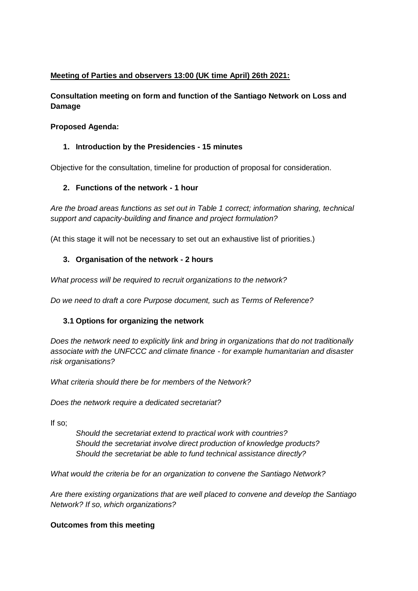# **Meeting of Parties and observers 13:00 (UK time April) 26th 2021:**

# **Consultation meeting on form and function of the Santiago Network on Loss and Damage**

## **Proposed Agenda:**

## **1. Introduction by the Presidencies - 15 minutes**

Objective for the consultation, timeline for production of proposal for consideration.

## **2. Functions of the network - 1 hour**

*Are the broad areas functions as set out in Table 1 correct; information sharing, technical support and capacity-building and finance and project formulation?*

(At this stage it will not be necessary to set out an exhaustive list of priorities.)

### **3. Organisation of the network - 2 hours**

*What process will be required to recruit organizations to the network?*

*Do we need to draft a core Purpose document, such as Terms of Reference?*

## **3.1 Options for organizing the network**

*Does the network need to explicitly link and bring in organizations that do not traditionally associate with the UNFCCC and climate finance - for example humanitarian and disaster risk organisations?*

*What criteria should there be for members of the Network?*

*Does the network require a dedicated secretariat?*

If so;

*Should the secretariat extend to practical work with countries? Should the secretariat involve direct production of knowledge products? Should the secretariat be able to fund technical assistance directly?*

*What would the criteria be for an organization to convene the Santiago Network?*

*Are there existing organizations that are well placed to convene and develop the Santiago Network? If so, which organizations?*

## **Outcomes from this meeting**